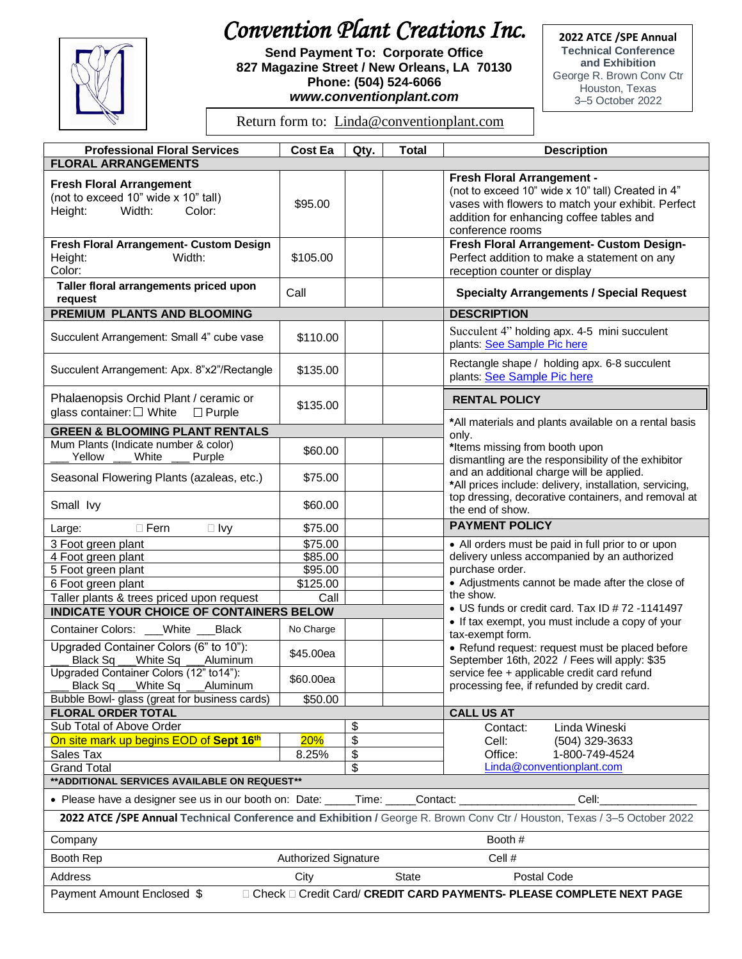## *Convention Plant Creations Inc.*



**Send Payment To: Corporate Office 827 Magazine Street / New Orleans, LA 70130 Phone: (504) 524-6066** *www.conventionplant.com*

**2022 ATCE /SPE Annual Technical Conference and Exhibition** George R. Brown Conv Ctr Houston, Texas 3–5 October 2022

Return form to: [Linda@conventionplant.com](mailto:Linda@conventionplant.com)

| <b>Professional Floral Services</b>                                                                                      | <b>Cost Ea</b>                 | Qty. | <b>Total</b> | <b>Description</b>                                                                                                                                                                                                                                                       |  |  |
|--------------------------------------------------------------------------------------------------------------------------|--------------------------------|------|--------------|--------------------------------------------------------------------------------------------------------------------------------------------------------------------------------------------------------------------------------------------------------------------------|--|--|
| <b>FLORAL ARRANGEMENTS</b>                                                                                               |                                |      |              |                                                                                                                                                                                                                                                                          |  |  |
| <b>Fresh Floral Arrangement</b><br>(not to exceed 10" wide x 10" tall)<br>Height:<br>Width:<br>Color:                    | \$95.00                        |      |              | Fresh Floral Arrangement -<br>(not to exceed 10" wide x 10" tall) Created in 4"<br>vases with flowers to match your exhibit. Perfect<br>addition for enhancing coffee tables and<br>conference rooms                                                                     |  |  |
| Fresh Floral Arrangement- Custom Design<br>Height:<br>Width:<br>Color:                                                   | \$105.00                       |      |              | Fresh Floral Arrangement- Custom Design-<br>Perfect addition to make a statement on any<br>reception counter or display                                                                                                                                                  |  |  |
| Taller floral arrangements priced upon<br>request                                                                        | Call                           |      |              | <b>Specialty Arrangements / Special Request</b>                                                                                                                                                                                                                          |  |  |
| <b>PREMIUM PLANTS AND BLOOMING</b>                                                                                       |                                |      |              | <b>DESCRIPTION</b>                                                                                                                                                                                                                                                       |  |  |
| Succulent Arrangement: Small 4" cube vase                                                                                | \$110.00                       |      |              | Succulent 4" holding apx. 4-5 mini succulent<br>plants: See Sample Pic here                                                                                                                                                                                              |  |  |
| Succulent Arrangement: Apx. 8"x2"/Rectangle                                                                              | \$135.00                       |      |              | Rectangle shape / holding apx. 6-8 succulent<br>plants: See Sample Pic here                                                                                                                                                                                              |  |  |
| Phalaenopsis Orchid Plant / ceramic or<br>glass container: □ White<br>$\Box$ Purple                                      | \$135.00                       |      |              | <b>RENTAL POLICY</b>                                                                                                                                                                                                                                                     |  |  |
| <b>GREEN &amp; BLOOMING PLANT RENTALS</b>                                                                                |                                |      |              | *All materials and plants available on a rental basis                                                                                                                                                                                                                    |  |  |
| Mum Plants (Indicate number & color)                                                                                     |                                |      |              | only.                                                                                                                                                                                                                                                                    |  |  |
| Yellow<br>White<br>Purple                                                                                                | \$60.00                        |      |              | *Items missing from booth upon<br>dismantling are the responsibility of the exhibitor<br>and an additional charge will be applied.<br>*All prices include: delivery, installation, servicing,<br>top dressing, decorative containers, and removal at<br>the end of show. |  |  |
| Seasonal Flowering Plants (azaleas, etc.)                                                                                | \$75.00                        |      |              |                                                                                                                                                                                                                                                                          |  |  |
| Small lvy                                                                                                                | \$60.00                        |      |              |                                                                                                                                                                                                                                                                          |  |  |
| $\Box$ Fern<br>$\Box$ Ivy<br>Large:                                                                                      | \$75.00                        |      |              | <b>PAYMENT POLICY</b>                                                                                                                                                                                                                                                    |  |  |
| 3 Foot green plant                                                                                                       | \$75.00                        |      |              | • All orders must be paid in full prior to or upon                                                                                                                                                                                                                       |  |  |
| 4 Foot green plant                                                                                                       | \$85.00                        |      |              | delivery unless accompanied by an authorized                                                                                                                                                                                                                             |  |  |
| 5 Foot green plant                                                                                                       | \$95.00                        |      |              | purchase order.                                                                                                                                                                                                                                                          |  |  |
| 6 Foot green plant                                                                                                       | \$125.00                       |      |              | • Adjustments cannot be made after the close of                                                                                                                                                                                                                          |  |  |
| Taller plants & trees priced upon request                                                                                | Call                           |      |              | the show.                                                                                                                                                                                                                                                                |  |  |
| • US funds or credit card. Tax ID # 72 -1141497<br>INDICATE YOUR CHOICE OF CONTAINERS BELOW                              |                                |      |              |                                                                                                                                                                                                                                                                          |  |  |
| Container Colors: ___White __<br>Black                                                                                   | No Charge                      |      |              | • If tax exempt, you must include a copy of your<br>tax-exempt form.                                                                                                                                                                                                     |  |  |
| Upgraded Container Colors (6" to 10"):<br>Black Sq<br>White Sq<br>Aluminum                                               | \$45.00ea                      |      |              | • Refund request: request must be placed before<br>September 16th, 2022 / Fees will apply: \$35                                                                                                                                                                          |  |  |
| Upgraded Container Colors (12" to 14"):<br>Black Sq ___White Sq ___Aluminum                                              | \$60.00ea                      |      |              | service fee + applicable credit card refund<br>processing fee, if refunded by credit card.                                                                                                                                                                               |  |  |
| Bubble Bowl- glass (great for business cards)                                                                            | \$50.00                        |      |              |                                                                                                                                                                                                                                                                          |  |  |
| <b>FLORAL ORDER TOTAL</b>                                                                                                |                                |      |              | <b>CALL US AT</b>                                                                                                                                                                                                                                                        |  |  |
| Sub Total of Above Order                                                                                                 |                                | \$   |              | Contact:<br>Linda Wineski                                                                                                                                                                                                                                                |  |  |
| On site mark up begins EOD of Sept 16th                                                                                  | 20%                            | \$   |              | Cell:<br>(504) 329-3633                                                                                                                                                                                                                                                  |  |  |
| Sales Tax                                                                                                                | 8.25%                          | \$   |              | Office:<br>1-800-749-4524                                                                                                                                                                                                                                                |  |  |
| <b>Grand Total</b>                                                                                                       |                                | \$   |              | Linda@conventionplant.com                                                                                                                                                                                                                                                |  |  |
| ** ADDITIONAL SERVICES AVAILABLE ON REQUEST**                                                                            |                                |      |              |                                                                                                                                                                                                                                                                          |  |  |
| • Please have a designer see us in our booth on: Date:<br>Cell:<br>$\_Time:$<br>Contact:                                 |                                |      |              |                                                                                                                                                                                                                                                                          |  |  |
| 2022 ATCE /SPE Annual Technical Conference and Exhibition / George R. Brown Conv Ctr / Houston, Texas / 3-5 October 2022 |                                |      |              |                                                                                                                                                                                                                                                                          |  |  |
| Company                                                                                                                  | Booth #                        |      |              |                                                                                                                                                                                                                                                                          |  |  |
| Booth Rep                                                                                                                | Authorized Signature<br>Cell # |      |              |                                                                                                                                                                                                                                                                          |  |  |
| Address<br><b>State</b><br>Postal Code<br>City                                                                           |                                |      |              |                                                                                                                                                                                                                                                                          |  |  |
| □ Check □ Credit Card/ CREDIT CARD PAYMENTS- PLEASE COMPLETE NEXT PAGE<br>Payment Amount Enclosed \$                     |                                |      |              |                                                                                                                                                                                                                                                                          |  |  |